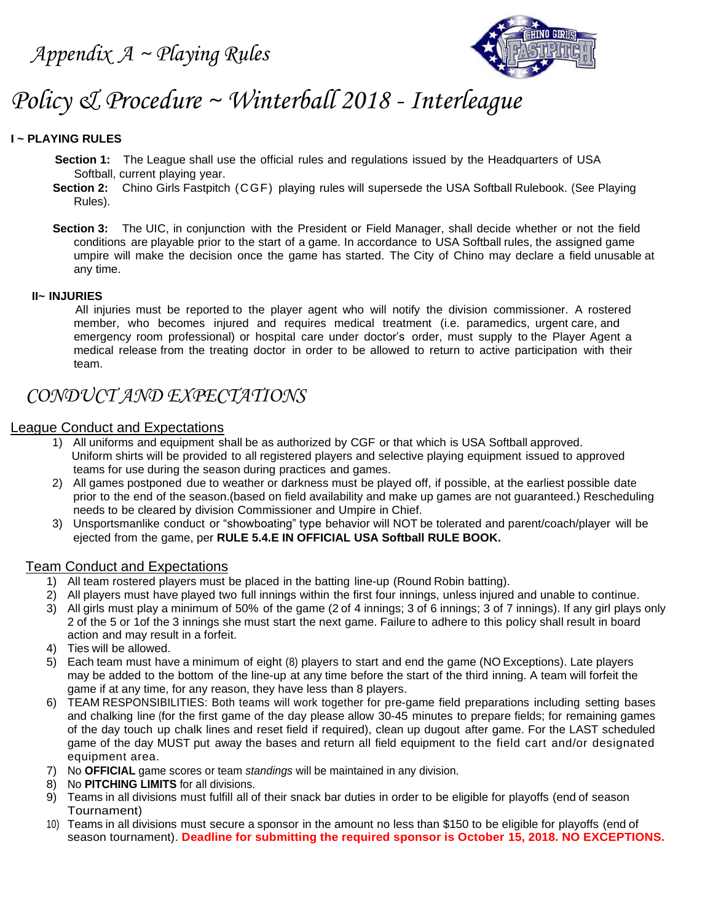

# *Policy & Procedure ~ Winterball 2018 - Interleague*

#### **I ~ PLAYING RULES**

- **Section 1:** The League shall use the official rules and regulations issued by the Headquarters of USA Softball, current playing year.
- **Section 2:** Chino Girls Fastpitch (CGF) playing rules will supersede the USA Softball Rulebook. (See Playing Rules).
- **Section 3:** The UIC, in conjunction with the President or Field Manager, shall decide whether or not the field conditions are playable prior to the start of a game. In accordance to USA Softball rules, the assigned game umpire will make the decision once the game has started. The City of Chino may declare a field unusable at any time.

#### **II~ INJURIES**

 All injuries must be reported to the player agent who will notify the division commissioner. A rostered member, who becomes injured and requires medical treatment (i.e. paramedics, urgent care, and emergency room professional) or hospital care under doctor's order, must supply to the Player Agent a medical release from the treating doctor in order to be allowed to return to active participation with their team.

### *CONDUCT AND EXPECTATIONS*

### League Conduct and Expectations

- 1) All uniforms and equipment shall be as authorized by CGF or that which is USA Softball approved. Uniform shirts will be provided to all registered players and selective playing equipment issued to approved teams for use during the season during practices and games.
- 2) All games postponed due to weather or darkness must be played off, if possible, at the earliest possible date prior to the end of the season.(based on field availability and make up games are not guaranteed.) Rescheduling needs to be cleared by division Commissioner and Umpire in Chief.
- 3) Unsportsmanlike conduct or "showboating" type behavior will NOT be tolerated and parent/coach/player will be ejected from the game, per **RULE 5.4.E IN OFFICIAL USA Softball RULE BOOK.**

#### Team Conduct and Expectations

- 1) All team rostered players must be placed in the batting line-up (Round Robin batting).
- 2) All players must have played two full innings within the first four innings, unless injured and unable to continue.
- 3) All girls must play a minimum of 50% of the game (2 of 4 innings; 3 of 6 innings; 3 of 7 innings). If any girl plays only 2 of the 5 or 1of the 3 innings she must start the next game. Failure to adhere to this policy shall result in board action and may result in a forfeit.
- 4) Ties will be allowed.
- 5) Each team must have a minimum of eight (8) players to start and end the game (NO Exceptions). Late players may be added to the bottom of the line-up at any time before the start of the third inning. A team will forfeit the game if at any time, for any reason, they have less than 8 players.
- 6) TEAM RESPONSIBILITIES: Both teams will work together for pre-game field preparations including setting bases and chalking line (for the first game of the day please allow 30-45 minutes to prepare fields; for remaining games of the day touch up chalk lines and reset field if required), clean up dugout after game. For the LAST scheduled game of the day MUST put away the bases and return all field equipment to the field cart and/or designated equipment area.
- 7) No **OFFICIAL** game scores or team *standings* will be maintained in any division.
- 8) No **PITCHING LIMITS** for all divisions.
- 9) Teams in all divisions must fulfill all of their snack bar duties in order to be eligible for playoffs (end of season Tournament)
- 10) Teams in all divisions must secure a sponsor in the amount no less than \$150 to be eligible for playoffs (end of season tournament). **Deadline for submitting the required sponsor is October 15, 2018. NO EXCEPTIONS.**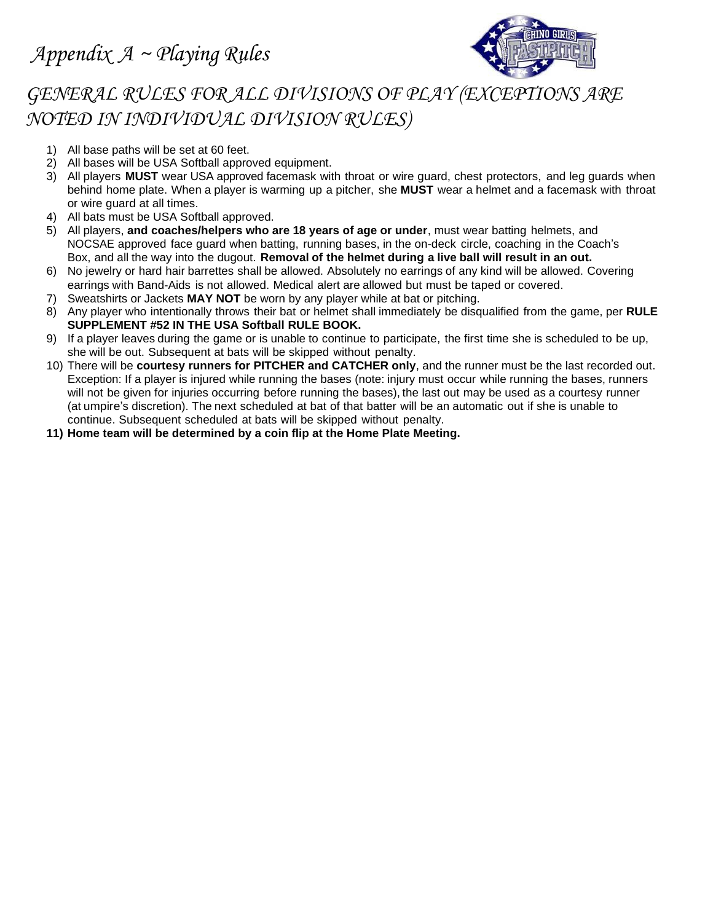

## *GENERAL RULES FOR ALL DIVISIONS OF PLAY (EXCEPTIONS ARE NOTED IN INDIVIDUAL DIVISION RULES)*

- 1) All base paths will be set at 60 feet.
- 2) All bases will be USA Softball approved equipment.
- 3) All players **MUST** wear USA approved facemask with throat or wire guard, chest protectors, and leg guards when behind home plate. When a player is warming up a pitcher, she **MUST** wear a helmet and a facemask with throat or wire guard at all times.
- 4) All bats must be USA Softball approved.
- 5) All players, **and coaches/helpers who are 18 years of age or under**, must wear batting helmets, and NOCSAE approved face guard when batting, running bases, in the on-deck circle, coaching in the Coach's Box, and all the way into the dugout. **Removal of the helmet during a live ball will result in an out.**
- 6) No jewelry or hard hair barrettes shall be allowed. Absolutely no earrings of any kind will be allowed. Covering earrings with Band-Aids is not allowed. Medical alert are allowed but must be taped or covered.
- 7) Sweatshirts or Jackets **MAY NOT** be worn by any player while at bat or pitching.
- 8) Any player who intentionally throws their bat or helmet shall immediately be disqualified from the game, per **RULE SUPPLEMENT #52 IN THE USA Softball RULE BOOK.**
- 9) If a player leaves during the game or is unable to continue to participate, the first time she is scheduled to be up, she will be out. Subsequent at bats will be skipped without penalty.
- 10) There will be **courtesy runners for PITCHER and CATCHER only**, and the runner must be the last recorded out. Exception: If a player is injured while running the bases (note: injury must occur while running the bases, runners will not be given for injuries occurring before running the bases), the last out may be used as a courtesy runner (at umpire's discretion). The next scheduled at bat of that batter will be an automatic out if she is unable to continue. Subsequent scheduled at bats will be skipped without penalty.
- **11) Home team will be determined by a coin flip at the Home Plate Meeting.**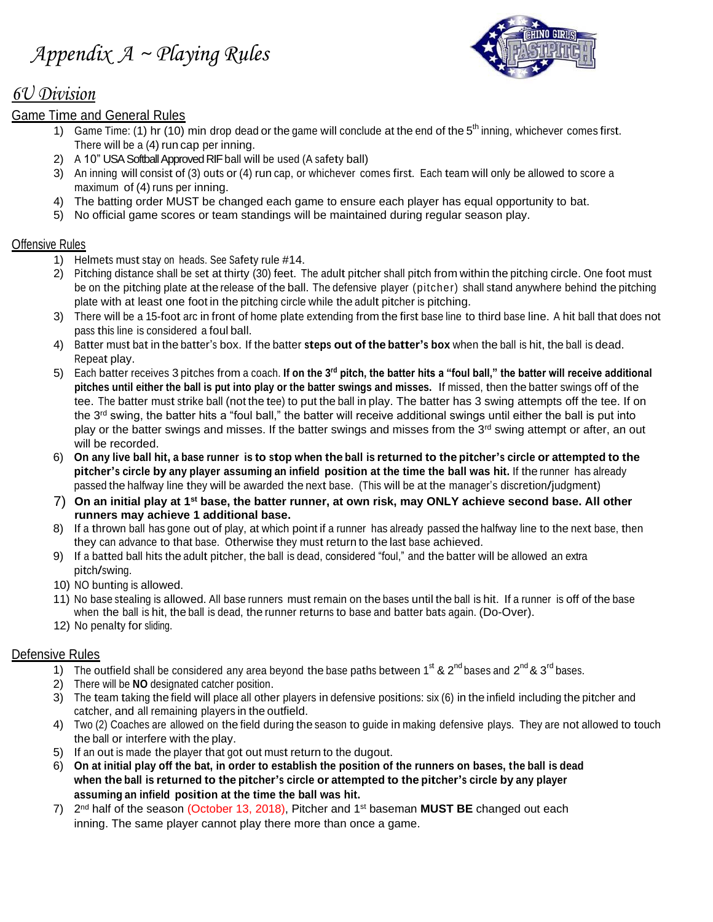

### *6U Division*

### Game Time and General Rules

- 1) Game Time: (1) hr (10) min drop dead or the game will conclude at the end of the  $5<sup>th</sup>$  inning, whichever comes first. There will be a (4) run cap per inning.
- 2) A 10" USA Softball Approved RIF ball will be used (A safety ball)
- 3) An inning will consist of (3) outs or (4) run cap, or whichever comes first. Each team will only be allowed to score a maximum of (4) runs per inning.
- 4) The batting order MUST be changed each game to ensure each player has equal opportunity to bat.
- 5) No official game scores or team standings will be maintained during regular season play.

### Offensive Rules

- 1) Helmets must stay on heads. See Safety rule #14.
- 2) Pitching distance shall be set at thirty (30) feet. The adult pitcher shall pitch from within the pitching circle. One foot must be on the pitching plate at the release of the ball. The defensive player (pitcher) shall stand anywhere behind the pitching plate with at least one foot in the pitching circle while the adult pitcher is pitching.
- 3) There will be a 15-foot arc in front of home plate extending from the first base line to third base line. A hit ball that does not pass this line is considered a foul ball.
- 4) Batter must bat in the batter's box. If the batter **steps out of the batter's box** when the ball is hit, the ball is dead. Repeat play.
- 5) Each batter receives 3 pitches from a coach. **If on the 3rd pitch, the batter hits a "foul ball," the batter will receive additional pitches until either the ball is put into play or the batter swings and misses.** If missed, then the batter swings off of the tee. The batter must strike ball (not the tee) to put the ball in play. The batter has 3 swing attempts off the tee. If on the 3<sup>rd</sup> swing, the batter hits a "foul ball," the batter will receive additional swings until either the ball is put into play or the batter swings and misses. If the batter swings and misses from the 3<sup>rd</sup> swing attempt or after, an out will be recorded.
- 6) On any live ball hit, a base runner is to stop when the ball is returned to the pitcher's circle or attempted to the **pitcher's circle by any player assuming an infield position at the time the ball was hit.** If the runner has already passed the halfway line they will be awarded the next base. (This will be at the manager's discretion/judgment)
- 7) **On an initial play at 1st base, the batter runner, at own risk, may ONLY achieve second base. All other runners may achieve 1 additional base.**
- 8) If a thrown ball has gone out of play, at which point if a runner has already passed the halfway line to the next base, then they can advance to that base. Otherwise they must return to the last base achieved.
- 9) If a batted ball hits the adult pitcher, the ball is dead, considered "foul," and the batter will be allowed an extra pitch/swing.
- 10) NO bunting is allowed.
- 11) No base stealing is allowed. All base runners must remain on the bases until the ball is hit. If a runner is off of the base when the ball is hit, the ball is dead, the runner returns to base and batter bats again. (Do-Over).
- 12) No penalty for sliding.

### Defensive Rules

- 1) The outfield shall be considered any area beyond the base paths between 1<sup>st</sup> & 2<sup>nd</sup> bases and 2<sup>nd</sup> & 3<sup>rd</sup> bases.
- 2) There will be **NO** designated catcher position.
- 3) The team taking the field will place all other players in defensive positions: six (6) in the infield including the pitcher and catcher, and all remaining players in the outfield.
- 4) Two (2) Coaches are allowed on the field during the season to guide in making defensive plays. They are not allowed to touch the ball or interfere with the play.
- 5) If an out is made the player that got out must return to the dugout.
- 6) **On at initial play off the bat, in order to establish the position of the runners on bases, the ball is dead** when the ball is returned to the pitcher's circle or attempted to the pitcher's circle by any player **assuming an infield position at the time the ball was hit.**
- 7) 2 nd half of the season (October 13, 2018), Pitcher and 1st baseman **MUST BE** changed out each inning. The same player cannot play there more than once a game.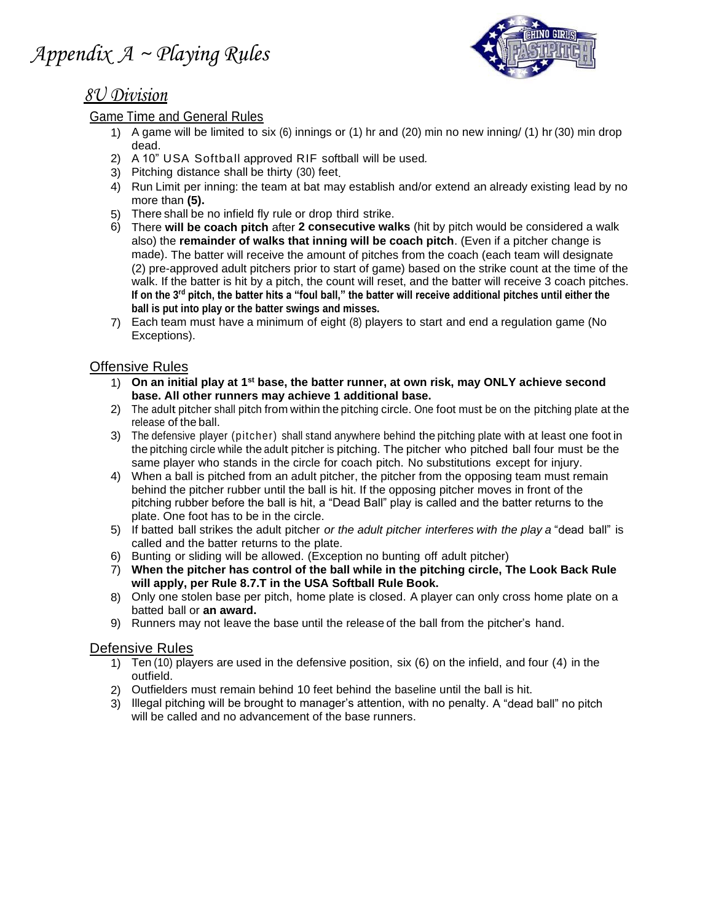

# *8U Division*

### Game Time and General Rules

- 1) A game will be limited to six (6) innings or (1) hr and (20) min no new inning/ (1) hr (30) min drop dead.
- 2) A 10" USA Softball approved RIF softball will be used*.*
- 3) Pitching distance shall be thirty (30) feet.
- 4) Run Limit per inning: the team at bat may establish and/or extend an already existing lead by no more than **(5).**
- 5) There shall be no infield fly rule or drop third strike.
- 6) There **will be coach pitch** after **2 consecutive walks** (hit by pitch would be considered a walk also) the **remainder of walks that inning will be coach pitch**. (Even if a pitcher change is made). The batter will receive the amount of pitches from the coach (each team will designate (2) pre-approved adult pitchers prior to start of game) based on the strike count at the time of the walk. If the batter is hit by a pitch, the count will reset, and the batter will receive 3 coach pitches. **If on the 3rd pitch, the batter hits a "foul ball," the batter will receive additional pitches until either the ball is put into play or the batter swings and misses.**
- 7) Each team must have a minimum of eight (8) players to start and end a regulation game (No Exceptions).

### Offensive Rules

- 1) **On an initial play at 1st base, the batter runner, at own risk, may ONLY achieve second base. All other runners may achieve 1 additional base.**
- 2) The adult pitcher shall pitch from within the pitching circle. One foot must be on the pitching plate at the release of the ball.
- 3) The defensive player (pitcher) shall stand anywhere behind the pitching plate with at least one foot in the pitching circle while the adult pitcher is pitching. The pitcher who pitched ball four must be the same player who stands in the circle for coach pitch. No substitutions except for injury.
- 4) When a ball is pitched from an adult pitcher, the pitcher from the opposing team must remain behind the pitcher rubber until the ball is hit. If the opposing pitcher moves in front of the pitching rubber before the ball is hit, a "Dead Ball" play is called and the batter returns to the plate. One foot has to be in the circle.
- 5) If batted ball strikes the adult pitcher *or the adult pitcher interferes with the play a* "dead ball" is called and the batter returns to the plate.
- 6) Bunting or sliding will be allowed. (Exception no bunting off adult pitcher)
- 7) **When the pitcher has control of the ball while in the pitching circle, The Look Back Rule will apply, per Rule 8.7.T in the USA Softball Rule Book.**
- 8) Only one stolen base per pitch, home plate is closed. A player can only cross home plate on a batted ball or **an award.**
- 9) Runners may not leave the base until the release of the ball from the pitcher's hand.

### Defensive Rules

- 1) Ten (10) players are used in the defensive position, six (6) on the infield, and four (4) in the outfield.
- 2) Outfielders must remain behind 10 feet behind the baseline until the ball is hit.
- 3) Illegal pitching will be brought to manager's attention, with no penalty. A "dead ball" no pitch will be called and no advancement of the base runners.